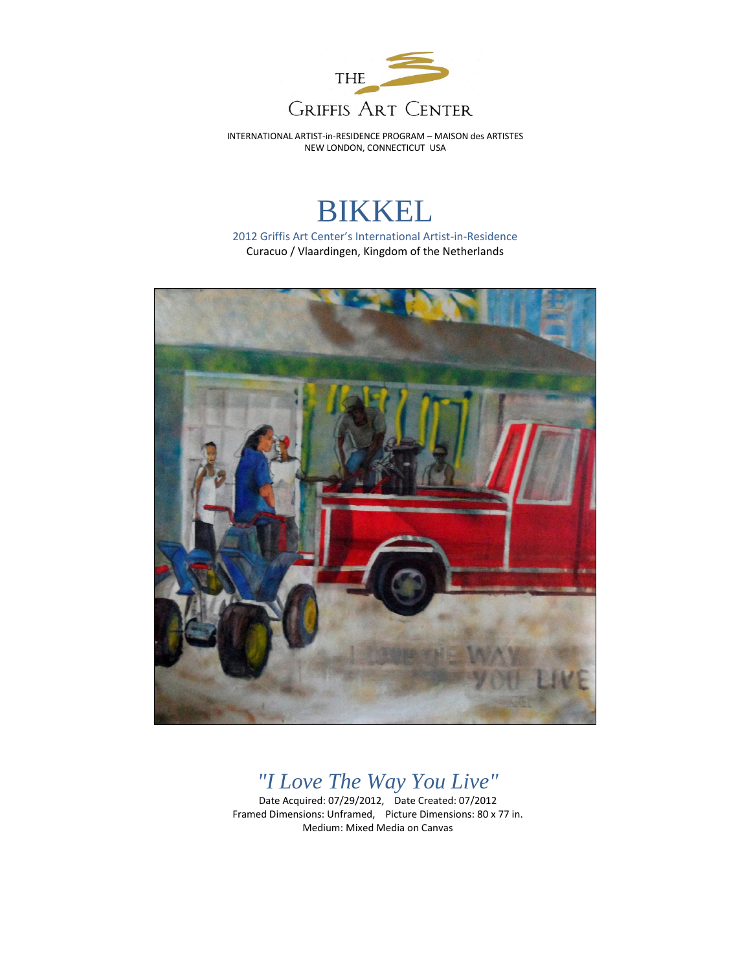

INTERNATIONAL ARTIST-in-RESIDENCE PROGRAM – MAISON des ARTISTES NEW LONDON, CONNECTICUT USA

## BIKKEL

2012 Griffis Art Center's International Artist-in-Residence Curacuo / Vlaardingen, Kingdom of the Netherlands



## *"I Love The Way You Live"*

Date Acquired: 07/29/2012, Date Created: 07/2012 Framed Dimensions: Unframed, Picture Dimensions: 80 x 77 in. Medium: Mixed Media on Canvas